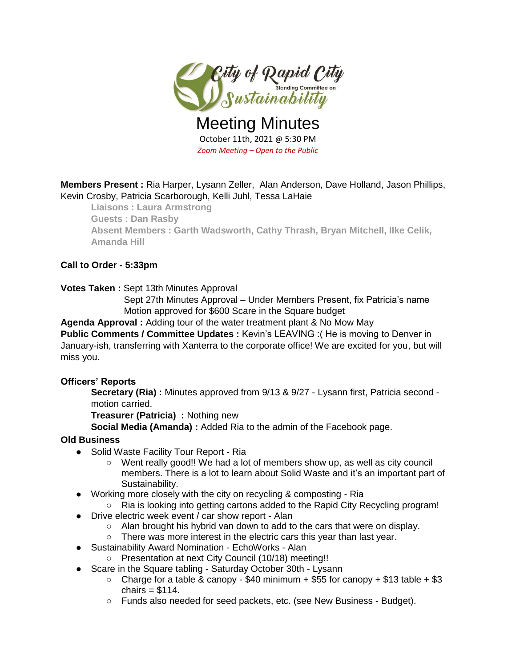

Meeting Minutes October 11th, 2021 @ 5:30 PM *Zoom Meeting – Open to the Public*

**Members Present :** Ria Harper, Lysann Zeller, Alan Anderson, Dave Holland, Jason Phillips, Kevin Crosby, Patricia Scarborough, Kelli Juhl, Tessa LaHaie

**Liaisons : Laura Armstrong Guests : Dan Rasby Absent Members : Garth Wadsworth, Cathy Thrash, Bryan Mitchell, Ilke Celik, Amanda Hill**

### **Call to Order - 5:33pm**

**Votes Taken :** Sept 13th Minutes Approval

Sept 27th Minutes Approval – Under Members Present, fix Patricia's name Motion approved for \$600 Scare in the Square budget

**Agenda Approval :** Adding tour of the water treatment plant & No Mow May

**Public Comments / Committee Updates :** Kevin's LEAVING :( He is moving to Denver in January-ish, transferring with Xanterra to the corporate office! We are excited for you, but will miss you.

#### **Officers' Reports**

**Secretary (Ria) :** Minutes approved from 9/13 & 9/27 - Lysann first, Patricia second motion carried.

**Treasurer (Patricia) :** Nothing new

**Social Media (Amanda) :** Added Ria to the admin of the Facebook page.

#### **Old Business**

- Solid Waste Facility Tour Report Ria
	- Went really good!! We had a lot of members show up, as well as city council members. There is a lot to learn about Solid Waste and it's an important part of Sustainability.
- Working more closely with the city on recycling & composting Ria
	- Ria is looking into getting cartons added to the Rapid City Recycling program!
- Drive electric week event / car show report Alan
	- Alan brought his hybrid van down to add to the cars that were on display.
	- There was more interest in the electric cars this year than last year.
- Sustainability Award Nomination EchoWorks Alan
	- Presentation at next City Council (10/18) meeting!!
- Scare in the Square tabling Saturday October 30th Lysann
	- $\circ$  Charge for a table & canopy \$40 minimum + \$55 for canopy + \$13 table + \$3 chairs  $= $114$ .
	- Funds also needed for seed packets, etc. (see New Business Budget).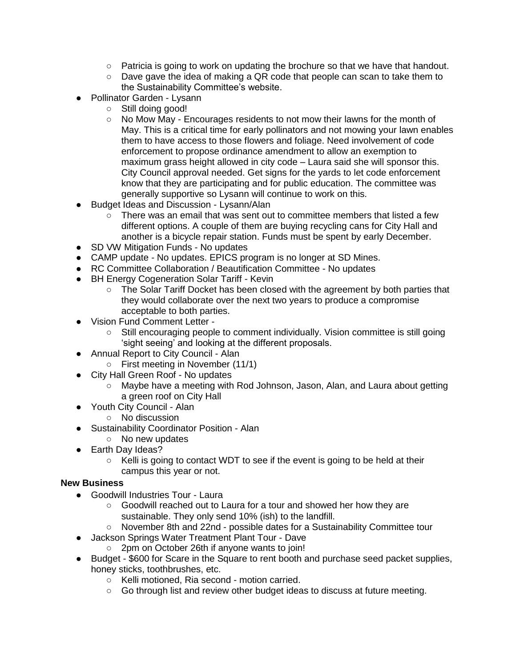- Patricia is going to work on updating the brochure so that we have that handout.
- $\circ$  Dave gave the idea of making a QR code that people can scan to take them to the Sustainability Committee's website.
- Pollinator Garden Lysann
	- Still doing good!
	- No Mow May Encourages residents to not mow their lawns for the month of May. This is a critical time for early pollinators and not mowing your lawn enables them to have access to those flowers and foliage. Need involvement of code enforcement to propose ordinance amendment to allow an exemption to maximum grass height allowed in city code – Laura said she will sponsor this. City Council approval needed. Get signs for the yards to let code enforcement know that they are participating and for public education. The committee was generally supportive so Lysann will continue to work on this.
- **Budget Ideas and Discussion Lysann/Alan** 
	- $\circ$  There was an email that was sent out to committee members that listed a few different options. A couple of them are buying recycling cans for City Hall and another is a bicycle repair station. Funds must be spent by early December.
- SD VW Mitigation Funds No updates
- CAMP update No updates. EPICS program is no longer at SD Mines.
- RC Committee Collaboration / Beautification Committee No updates
- BH Energy Cogeneration Solar Tariff Kevin
	- The Solar Tariff Docket has been closed with the agreement by both parties that they would collaborate over the next two years to produce a compromise acceptable to both parties.
- Vision Fund Comment Letter
	- Still encouraging people to comment individually. Vision committee is still going 'sight seeing' and looking at the different proposals.
- Annual Report to City Council Alan
	- First meeting in November (11/1)
- City Hall Green Roof No updates
	- Maybe have a meeting with Rod Johnson, Jason, Alan, and Laura about getting a green roof on City Hall
- Youth City Council Alan
	- No discussion
- Sustainability Coordinator Position Alan
	- No new updates
- Earth Day Ideas?
	- Kelli is going to contact WDT to see if the event is going to be held at their campus this year or not.

## **New Business**

- Goodwill Industries Tour Laura
	- Goodwill reached out to Laura for a tour and showed her how they are sustainable. They only send 10% (ish) to the landfill.
	- November 8th and 22nd possible dates for a Sustainability Committee tour
- Jackson Springs Water Treatment Plant Tour Dave
	- 2pm on October 26th if anyone wants to join!
- Budget \$600 for Scare in the Square to rent booth and purchase seed packet supplies, honey sticks, toothbrushes, etc.
	- Kelli motioned, Ria second motion carried.
	- Go through list and review other budget ideas to discuss at future meeting.